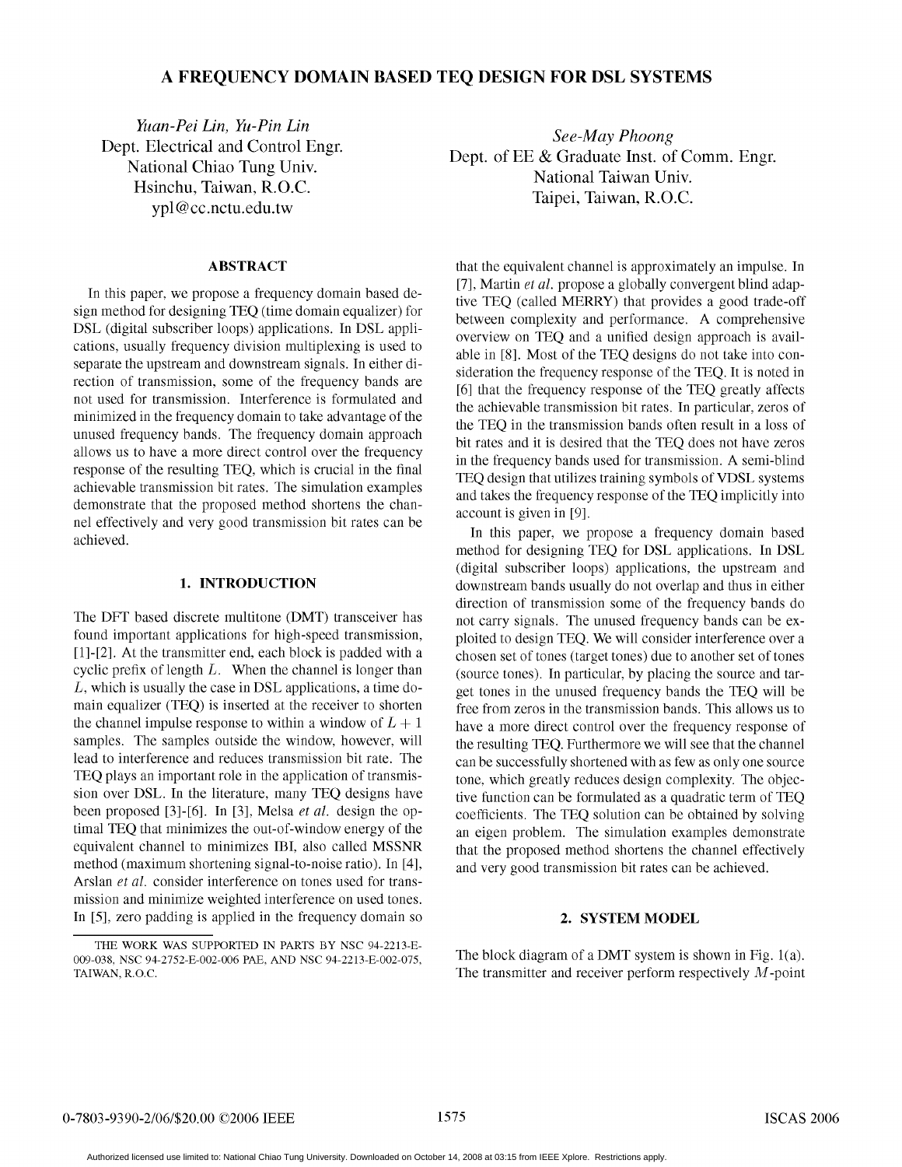# A FREQUENCY DOMAIN BASED TEQ DESIGN FOR DSL SYSTEMS

Yuan-Pei Lin, Yu-Pin Lin Dept. Electrical and Control Engr. National Chiao Tung Univ. Hsinchu, Taiwan, R.O.C. ypl@cc.nctu.edu.tw

### **ABSTRACT**

In this paper, we propose a frequency domain based design method for designing TEO (time domain equalizer) for DSL (digital subscriber loops) applications. In DSL applications, usually frequency division multiplexing is used to separate the upstream and downstream signals. In either direction of transmission, some of the frequency bands are not used for transmission. Interference is formulated and minimized in the frequency domain to take advantage of the unused frequency bands. The frequency domain approach allows us to have a more direct control over the frequency response of the resulting TEQ, which is crucial in the final achievable transmission bit rates. The simulation examples demonstrate that the proposed method shortens the channel effectively and very good transmission bit rates can be achieved.

## 1. INTRODUCTION

The DFT based discrete multitone (DMT) transceiver has found important applications for high-speed transmission, [1]-[2]. At the transmitter end, each block is padded with a cyclic prefix of length  $L$ . When the channel is longer than L, which is usually the case in DSL applications, a time domain equalizer (TEQ) is inserted at the receiver to shorten the channel impulse response to within a window of  $L + 1$ samples. The samples outside the window, however, will lead to interference and reduces transmission bit rate. The TEQ plays an important role in the application of transmission over DSL. In the literature, many TEQ designs have been proposed [3]-[6]. In [3], Melsa et al. design the optimal TEQ that minimizes the out-of-window energy of the equivalent channel to minimizes IBI, also called MSSNR method (maximum shortening signal-to-noise ratio). In [4], Arslan et al. consider interference on tones used for transmission and minimize weighted interference on used tones. In [5], zero padding is applied in the frequency domain so

See-May Phoong Dept. of EE & Graduate Inst. of Comm. Engr. National Taiwan Univ. Taipei, Taiwan, R.O.C.

that the equivalent channel is approximately an impulse. In [7], Martin et al. propose a globally convergent blind adaptive TEQ (called MERRY) that provides a good trade-off between complexity and performance. A comprehensive overview on TEQ and a unified design approach is available in [8]. Most of the TEQ designs do not take into consideration the frequency response of the TEQ. It is noted in [6] that the frequency response of the TEQ greatly affects the achievable transmission bit rates. In particular, zeros of the TEQ in the transmission bands often result in a loss of bit rates and it is desired that the TEO does not have zeros in the frequency bands used for transmission. A semi-blind TEQ design that utilizes training symbols of VDSL systems and takes the frequency response of the TEQ implicitly into account is given in [9].

In this paper, we propose a frequency domain based method for designing TEQ for DSL applications. In DSL (digital subscriber loops) applications, the upstream and downstream bands usually do not overlap and thus in either direction of transmission some of the frequency bands do not carry signals. The unused frequency bands can be exploited to design TEQ. We will consider interference over a chosen set of tones (target tones) due to another set of tones (source tones). In particular, by placing the source and target tones in the unused frequency bands the TEO will be free from zeros in the transmission bands. This allows us to have a more direct control over the frequency response of the resulting TEQ. Furthermore we will see that the channel can be successfully shortened with as few as only one source tone, which greatly reduces design complexity. The objective function can be formulated as a quadratic term of TEQ coefficients. The TEQ solution can be obtained by solving an eigen problem. The simulation examples demonstrate that the proposed method shortens the channel effectively and very good transmission bit rates can be achieved.

### 2. SYSTEM MODEL

The block diagram of a DMT system is shown in Fig. 1(a). The transmitter and receiver perform respectively  $M$ -point

THE WORK WAS SUPPORTED IN PARTS BY NSC 94-2213-E-009-038, NSC 94-2752-E-002-006 PAE, AND NSC 94-2213-E-002-075, TAIWAN, R.O.C.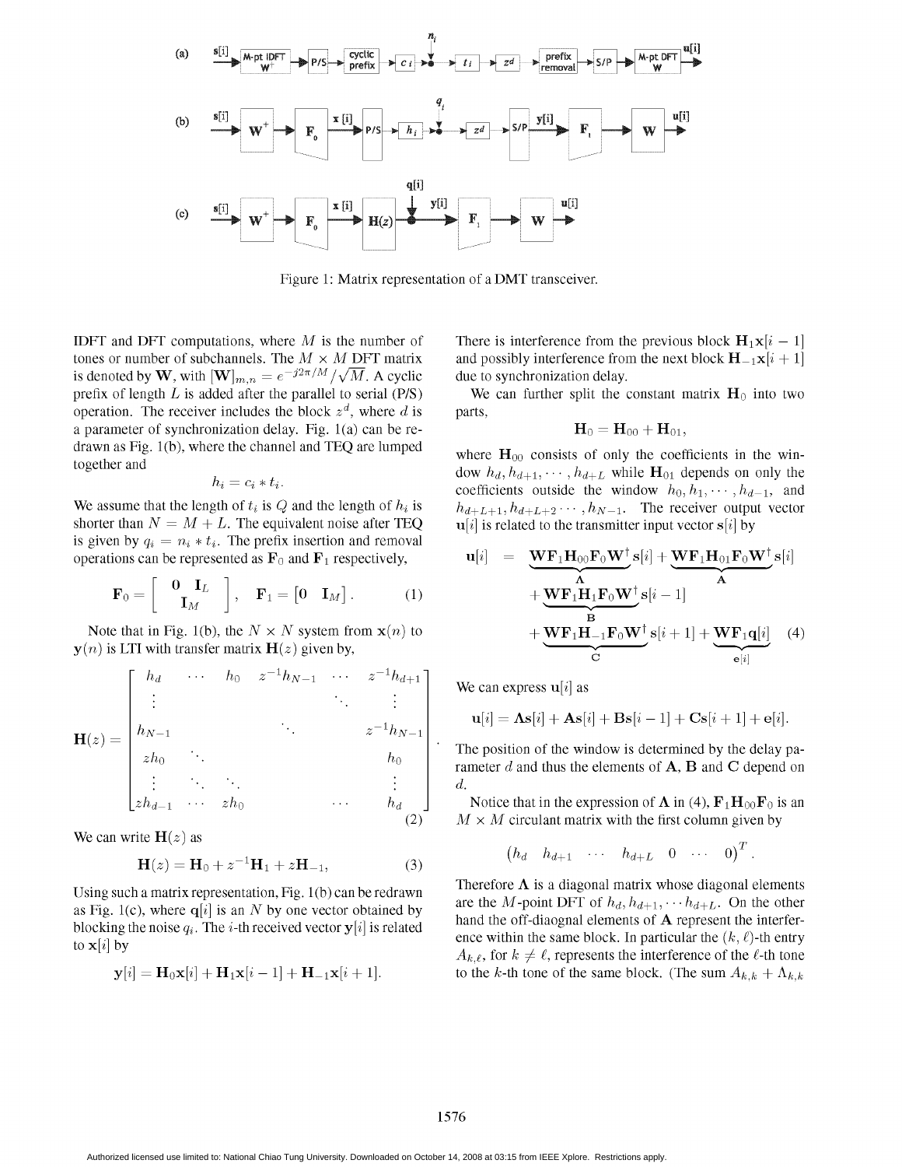

Figure 1: Matrix representation of <sup>a</sup> DMT transceiver.

is denoted by W, with  $[\mathbf{W}]_{m,n} = e^{-j2\pi/M}/\sqrt{M}$ . A cyclic prefix of length L is added after the parallel to serial (P/S) We can further split the constant matrix  $H_0$  into two operation. The receiver includes the block  $z<sup>d</sup>$ , where d is parts, a parameter of synchronization delay. Fig.  $1(a)$  can be redrawn as Fig. 1(b), where the channel and TEQ are lumped where  $H_{00}$  consists of only the coefficients in the win-<br>together and

$$
b_i = c_i * t_i.
$$

shorter than  $N = M + L$ . The equivalent noise after TEQ  $\mathbf{u}[i]$  is related to the transmitter input vector  $s[i]$  by is given by  $q_i = n_i * t_i$ . The prefix insertion and removal operations can be represented as  $\mathbf{F}_0$  and  $\mathbf{F}_1$  respectively,

$$
\mathbf{F}_0 = \begin{bmatrix} 0 & \mathbf{I}_L \\ \mathbf{I}_M \end{bmatrix}, \quad \mathbf{F}_1 = \begin{bmatrix} 0 & \mathbf{I}_M \end{bmatrix}. \tag{1}
$$

Note that in Fig. 1(b), the  $N \times N$  system from  $\mathbf{x}(n)$  to  $y(n)$  is LTI with transfer matrix  $H(z)$  given by,

$$
\mathbf{H}(z) = \begin{bmatrix} h_d & \cdots & h_0 & z^{-1}h_{N-1} & \cdots & z^{-1}h_{d+1} \\ \vdots & & & \ddots & \vdots \\ h_{N-1} & & & & z^{-1}h_{N-1} \\ zh_0 & \ddots & & & & h_0 \\ \vdots & \ddots & \ddots & & & \vdots \\ zh_{d-1} & \cdots & zh_0 & & & & \cdots & h_d \\ \end{bmatrix}
$$

We can write  $H(z)$  as

$$
\mathbf{H}(z) = \mathbf{H}_0 + z^{-1} \mathbf{H}_1 + z \mathbf{H}_{-1},
$$
\n(3) \n $(h_d \quad h_{d+1} \quad \cdots \quad h_{d+L} \quad 0 \quad \cdots \quad 0)$ 

as Fig. 1(c), where  $q[i]$  is an N by one vector obtained by blocking the noise  $q_i$ . The i-th received vector  $y[i]$  is related hand the off-diaognal elements of **A** represent the interfer-<br>to related the same block. In particular the  $(k, \ell)$ -th entry

$$
\mathbf{y}[i] = \mathbf{H}_0 \mathbf{x}[i] + \mathbf{H}_1 \mathbf{x}[i-1] + \mathbf{H}_{-1} \mathbf{x}[i+1].
$$

IDFT and DFT computations, where M is the number of There is interference from the previous block  $\mathbf{H}_1 \mathbf{x}[i-1]$  tones or number of subchannels. The  $M \times M$  DFT matrix and possibly interference from the next block  $\mathbf$ and possibly interference from the next block  $H_{-1}x[i + 1]$  due to synchronization delay.

$$
\mathbf{H}_0 = \mathbf{H}_{00} + \mathbf{H}_{01},
$$

dow  $h_d, h_{d+1}, \cdots, h_{d+L}$  while  $\mathbf{H}_{01}$  depends on only the coefficients outside the window  $h_0, h_1, \cdots, h_{d-1}$ , and We assume that the length of  $t_i$  is Q and the length of  $h_i$  is  $h_{d+L+1}, h_{d+L+2} \cdots, h_{N-1}$ . The receiver output vector

ely,  
\n
$$
\mathbf{u}[i] = \underbrace{\mathbf{W} \mathbf{F}_1 \mathbf{H}_{00} \mathbf{F}_0 \mathbf{W}^\dagger}_{\mathbf{A}} s[i] + \underbrace{\mathbf{W} \mathbf{F}_1 \mathbf{H}_{01} \mathbf{F}_0 \mathbf{W}^\dagger}_{\mathbf{A}} s[i]
$$
\n
$$
(1) + \underbrace{\mathbf{W} \mathbf{F}_1 \mathbf{H}_1 \mathbf{F}_0 \mathbf{W}^\dagger}_{\mathbf{B}} s[i-1] + \underbrace{\mathbf{W} \mathbf{F}_1 \mathbf{q}[i]}_{\mathbf{C}} (4)
$$
\n
$$
(2)
$$

We can express  $\mathbf{u}[i]$  as

$$
\mathbf{u}[i] = \mathbf{\Lambda}\mathbf{s}[i] + \mathbf{A}\mathbf{s}[i] + \mathbf{B}\mathbf{s}[i-1] + \mathbf{C}\mathbf{s}[i+1] + \mathbf{e}[i].
$$

The position of the window is determined by the delay parameter d and thus the elements of  $A$ ,  $B$  and  $C$  depend on d.

Notice that in the expression of  $\Lambda$  in (4),  $\mathbf{F}_1\mathbf{H}_{00}\mathbf{F}_0$  is an (2)  $M \times M$  circulant matrix with the first column given by

$$
\begin{pmatrix} h_d & h_{d+1} & \cdots & h_{d+L} & 0 & \cdots & 0 \end{pmatrix}^T.
$$

Using such a matrix representation, Fig. 1(b) can be redrawn Therefore  $\Lambda$  is a diagonal matrix whose diagonal elements are the M-point DFT of  $h_d, h_{d+1}, \cdots, h_{d+L}$ . On the other to  $\mathbf{x}[i]$  by<br>  $A_{k,\ell}$ , for  $k \neq \ell$ , represents the interference of the  $\ell$ -th tone to the k-th tone of the same block. (The sum  $A_{k,k} + \Lambda_{k,k}$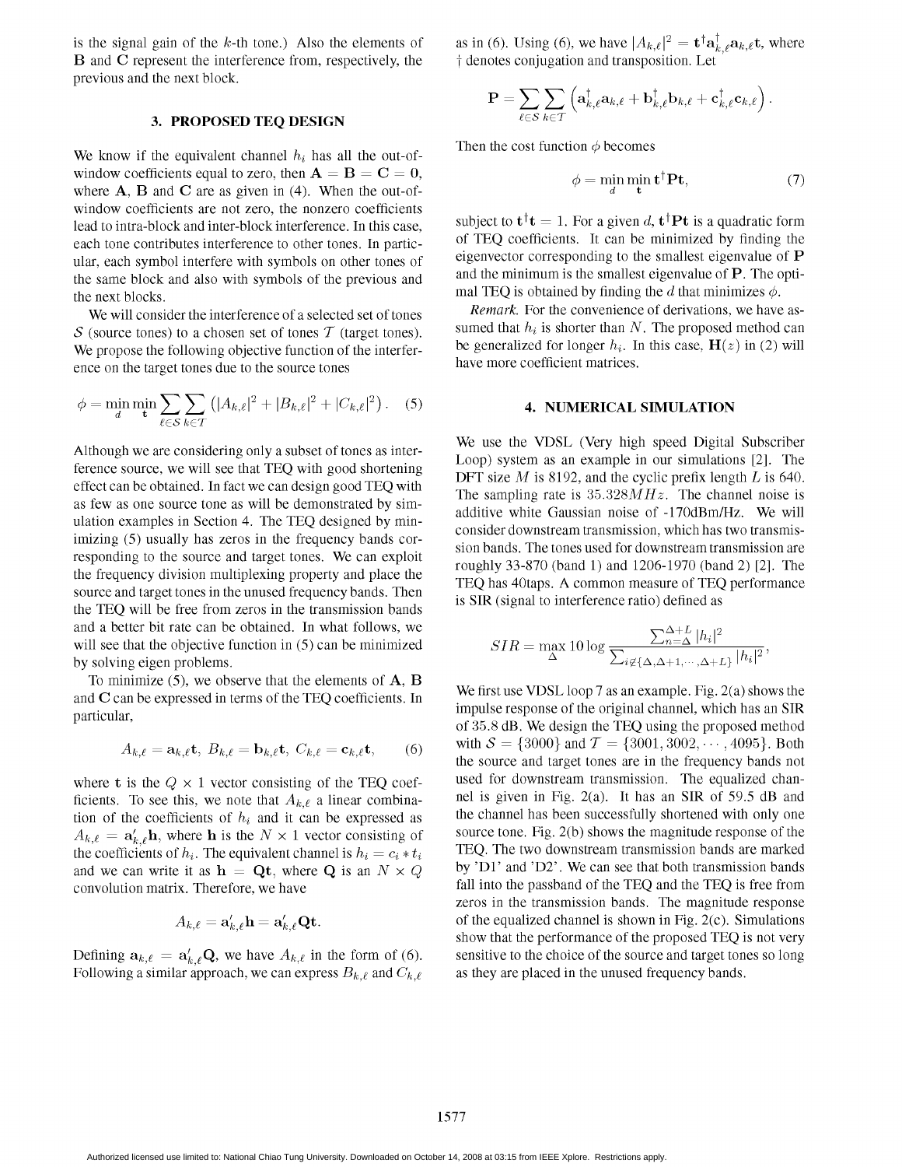B and C represent the interference from, respectively, the  $\dagger$  denotes conjugation and transposition. Let previous and the next block.

#### 3. PROPOSED TEQ DESIGN

We know if the equivalent channel  $h_i$  has all the out-of-<br>Then the cost function  $\phi$  becomes window coefficients equal to zero, then  $A = B = C = 0$ , where  $A$ ,  $B$  and  $C$  are as given in (4). When the out-ofwindow coefficients are not zero, the nonzero coefficients lead to intra-block and inter-block interference. In this case, subject to  $t^{\dagger}t = 1$ . For a given d,  $t^{\dagger}Pt$  is a quadratic form each tone contributes interference to other tones. In partic- of TEQ coefficients. It c the same block and also with symbols of the previous and the same block and also with symbols of the previous and the next blocks.<br>We will consider the interference of a selected set of tones Remark. For the convenience of derivations, we have as-

We propose the following objective function of the interfer-<br>  $\frac{be$  generalized for longer  $h_i$ . In the scale of the source tones<br>
have more coefficient matrices. ence on the target tones due to the source tones.

$$
\phi = \min_{d} \min_{\mathbf{t}} \sum_{\ell \in S} \sum_{k \in T} (|A_{k,\ell}|^2 + |B_{k,\ell}|^2 + |C_{k,\ell}|^2). \quad (5)
$$

as few as one source tone as will be demonstrated by simulation examples in Section 4. The TEO designed by minimizing (5) usually has zeros in the frequency bands corsource and target tones in the unused frequency bands. Then  $\frac{12Q}{18}$  as 40taps. A common measure of TEQ then  $\frac{12Q}{18}$  SIR (signal to interference ratio) defined as the TEQ will be free from zeros in the transmission bands and a better bit rate can be obtained. In what follows, we will see that the objective function in  $(5)$  can be minimized by solving eigen problems.

To minimize  $(5)$ , we observe that the elements of  $A$ ,  $B$ and C can be expressed in terms of the TEQ coefficients. In We first use VDSL loop 7 as an example. Fig. 2(a) shows the impulse response of the original channel, which has an SIR

$$
A_{k,\ell} = \mathbf{a}_{k,\ell} \mathbf{t}, \ B_{k,\ell} = \mathbf{b}_{k,\ell} \mathbf{t}, \ C_{k,\ell} = \mathbf{c}_{k,\ell} \mathbf{t}, \tag{6}
$$

ficients. To see this, we note that  $A_{k,\ell}$  a linear combina-<br>tion of the coefficients of  $h_1$  and it can be expressed as the channel has been successfully shortened with only one tion of the coefficients of  $h_i$  and it can be expressed as the channel has been successfully shortened with only one<br>  $A_{i,e} = a'$ . In where h is the  $N \times 1$  vector consisting of source tone. Fig. 2(b) shows the magnitude  $A_{k,\ell} = \mathbf{a}'_{k,\ell} \mathbf{h}$ , where h is the  $N \times 1$  vector consisting of source tone. Fig. 2(b) shows the magnitude response of the coefficients of h. The equivalent channel is  $h_i = c \cdot * t$ . The two downstream transmission b the coefficients of  $h_i$ . The equivalent channel is  $h_i = c_i * t_i$ and we can write it as  $h = Qt$ , where Q is an  $N \times Q$  by 'D1' and 'D2'. We can see that both transmission bands convolution matrix. Therefore, we have fall into the passband of the TEQ and the TEQ is free from

$$
A_{k,\ell} = \mathbf{a}'_{k,\ell}\mathbf{h} = \mathbf{a}'_{k,\ell}\mathbf{Qt}.
$$

Following a similar approach, we can express  $B_{k,\ell}$  and  $C_{k,\ell}$  as they are placed in the unused frequency bands.

is the signal gain of the k-th tone.) Also the elements of as in (6). Using (6), we have  $|A_{k,\ell}|^2 = \mathbf{t}^\dagger \mathbf{a}_{k,\ell}^\dagger \mathbf{a}_{k,\ell} \mathbf{t}$ , where

$$
\mathbf{P} = \sum_{\ell \in \mathcal{S}} \sum_{k \in T} \left( \mathbf{a}_{k,\ell}^{\dagger} \mathbf{a}_{k,\ell} + \mathbf{b}_{k,\ell}^{\dagger} \mathbf{b}_{k,\ell} + \mathbf{c}_{k,\ell}^{\dagger} \mathbf{c}_{k,\ell} \right).
$$

$$
\phi = \min_{\mathcal{A}} \min_{\mathbf{t}} \mathbf{t}^{\dagger} \mathbf{P} \mathbf{t},\tag{7}
$$

each tone contributes interference to other tones. In partic-<br>ular each symbol interfere with symbols on other tones of eigenvector corresponding to the smallest eigenvalue of **P** ular, each symbol interfere with symbols on other tones of eigenvector corresponding to the smallest eigenvalue of  $P$ . The opti-<br>the same block and also with symbols of the previous and and the minimum is the smallest ei

We will consider the interference of a selected set of tones Remark. For the convenience of derivations, we have as-<br>Sumed that  $h_i$  is shorter than N. The proposed method can S (source tones) to a chosen set of tones T (target tones). Sumed that  $h_i$  is shorter than N. The proposed method can<br>We propose the following objective function of the interfer-<br>be generalized for longer  $h_i$ . In this c

#### 4. NUMERICAL SIMULATION

Although we are considering only a subset of tones as inter-<br>Me use the VDSL (Very high speed Digital Subscriber<br> $\frac{1}{2}$  and subset of tones as inter-<br> $\frac{1}{2}$  and subscriber as an anomals in surgimulations [2]. The Loop) system as an example in our simulations [2]. The Although we are considering only a subset of tones as inter-<br>ference source, we will see that TEQ with good shortening Loop) system as an example in our simulations [2]. The<br>DFT size M is 8192, and the cyclic prefix lengt effect can be obtained. In fact we can design good TEQ with The sampling rate is  $35.328MHz$ . The channel noise is additive white Gaussian noise of -170dBm/Hz. We will consider downstream transmission, which has two transmisresponding to the source and target tones. We can exploit sion bands. The tones used for downstream transmission are<br>responding to the source and target tones. We can exploit roughly 33-870 (band 1) and 1206-1970 (band 2) the frequency division multiplexing property and place the roughly 33-870 (band 1) and 1200-1970 (band 2) [2]. The

$$
SIR = \max_{\Delta} 10 \log \frac{\sum_{n=\Delta}^{\Delta+L} |h_i|^2}{\sum_{i \notin \{\Delta, \Delta+1, \cdots, \Delta+L\}} |h_i|^2}
$$

particular, and the original channel, which has an SIR particular, which has an SIR particular,  $\sigma$  35.8 dB. We design the TEQ using the proposed method with  $S = \{3000\}$  and  $T = \{3001, 3002, \dots, 4095\}$ . Both the source and target tones are in the frequency bands not used for downstream transmission. The equalized chanwhere t is the  $Q \times 1$  vector consisting of the TEQ coef-<br>ficients. To see this we note that  $A_{k,\ell}$  a linear combina-<br>mel is given in Fig. 2(a). It has an SIR of 59.5 dB and zeros in the transmission bands. The magnitude response of the equalized channel is shown in Fig.  $2(c)$ . Simulations show that the performance of the proposed TEQ is not very Defining  $a_{k,\ell} = a'_{k,\ell} Q$ , we have  $A_{k,\ell}$  in the form of (6). sensitive to the choice of the source and target tones so long

Authorized licensed use limited to: National Chiao Tung University. Downloaded on October 14, 2008 at 03:15 from IEEE Xplore. Restrictions apply.